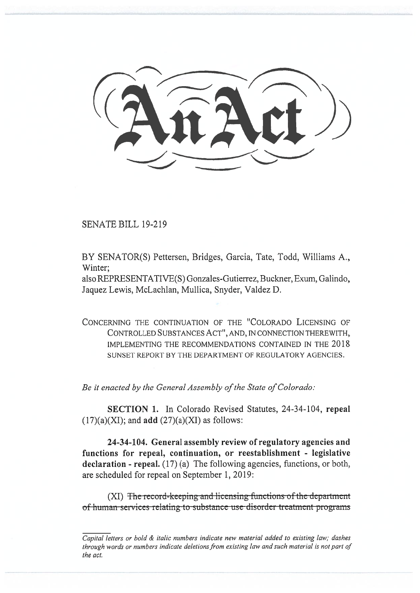SENATE BILL 19-219

BY SENATOR(S) Pettersen, Bridges, Garcia, Tate, Todd, Williams A., Winter;

also REPRESENTATIVE(S) Gonzales-Gutierrez, Buckner, Exum, Galindo, Jaquez Lewis, McLachlan, Mullica, Snyder, Valdez D.

CONCERNING THE CONTINUATION OF THE "COLORADO LICENSING OF CONTROLLED SUBSTANCES ACT", AND, IN CONNECTION THEREWITH, IMPLEMENTING THE RECOMMENDATIONS CONTAINED IN THE 2018 SUNSET REPORT BY THE DEPARTMENT OF REGULATORY AGENCIES.

*Be it enacted by the General Assembly of the State of Colorado:* 

**SECTION 1.** In Colorado Revised Statutes, 24-34-104, **repeal**   $(17)(a)(XI)$ ; and **add**  $(27)(a)(XI)$  as follows:

**24-34-104. General assembly review of regulatory agencies and functions for repeal, continuation, or reestablishment - legislative declaration - repeal.** (17) (a) The following agencies, functions, or both, are scheduled for repeal on September 1, 2019:

(XI) The record-keeping and licensing functions of the department of human services relating to substance use disorder treatment programs

*Capital letters or bold & italic numbers indicate new material added to existing law; dashes through words or numbers indicate deletions from existing law and such material is not part of the act.*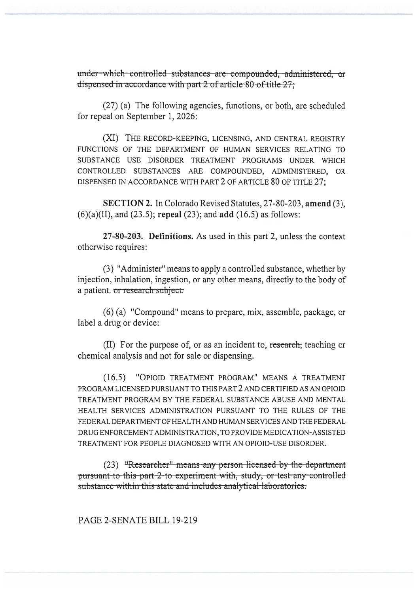under-which controlled substances are compounded, administered, or dispensed in accordance with part 2 of article 80 of title 27;

(27) (a) The following agencies, functions, or both, are scheduled for repeal on September 1, 2026:

(XI) THE RECORD-KEEPING, LICENSING, AND CENTRAL REGISTRY FUNCTIONS OF THE DEPARTMENT OF HUMAN SERVICES RELATING TO SUBSTANCE USE DISORDER TREATMENT PROGRAMS UNDER WHICH CONTROLLED SUBSTANCES ARE COMPOUNDED, ADMINISTERED, OR DISPENSED IN ACCORDANCE WITH PART 2 OF ARTICLE 80 OF TITLE 27;

**SECTION 2.** In Colorado Revised Statutes, 27-80-203, amend (3),  $(6)(a)(II)$ , and  $(23.5)$ ; repeal  $(23)$ ; and add  $(16.5)$  as follows:

27-80-203. Definitions. As used in this part 2, unless the context otherwise requires:

(3) "Administer" means to apply a controlled substance, whether by injection, inhalation, ingestion, or any other means, directly to the body of a patient. or research subject.

(6) (a) "Compound" means to prepare, mix, assemble, package, or label a drug or device:

(II) For the purpose of, or as an incident to, research, teaching or chemical analysis and not for sale or dispensing.

(16.5) "OPIOID TREATMENT PROGRAM" MEANS A TREATMENT PROGRAM LICENSED PURSUANT TO THIS PART 2 AND CERTIFIED AS AN OPIOID TREATMENT PROGRAM BY THE FEDERAL SUBSTANCE ABUSE AND MENTAL HEALTH SERVICES ADMINISTRATION PURSUANT TO THE RULES OF THE FEDERAL DEPARTMENT OF HEALTH AND HUMAN SERVICES AND THE FEDERAL DRUG ENFORCEMENT ADMINISTRATION, TO PROVIDE MEDICATION-ASSISTED TREATMENT FOR PEOPLE DIAGNOSED WITH AN OPIOID-USE DISORDER.

(23) "Researcher" means any person licensed by the department pursuant-to-this part-2 to experiment with, study, or test any controlled substance within this state and includes analytical laboratories.

## PAGE 2-SENATE BILL 19-219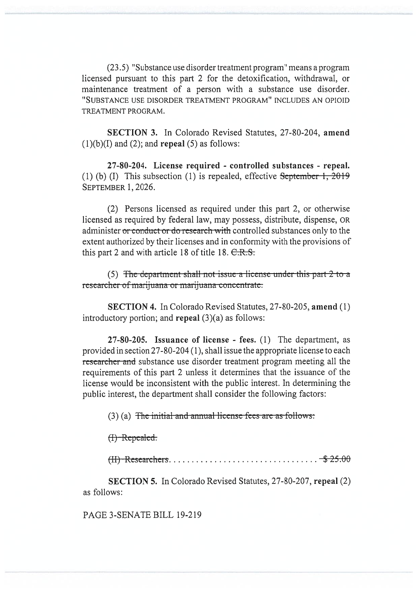(23.5) "Substance use disorder treatment program" means a program licensed pursuant to this part 2 for the detoxification, withdrawal, or maintenance treatment of a person with a substance use disorder. "SUBSTANCE USE DISORDER TREATMENT PROGRAM" INCLUDES AN OPIOID TREATMENT PROGRAM.

**SECTION 3.** In Colorado Revised Statutes, 27-80-204, **amend**   $(1)(b)(I)$  and  $(2)$ ; and **repeal**  $(5)$  as follows:

**27-80-204. License required - controlled substances - repeal.**  (1) (b) (I) This subsection (1) is repealed, effective  $S$ eptember 1, 2019 SEPTEMBER 1, 2026.

(2) Persons licensed as required under this part 2, or otherwise licensed as required by federal law, may possess, distribute, dispense, OR administer or conduct or do research with controlled substances only to the extent authorized by their licenses and in conformity with the provisions of this part 2 and with article 18 of title 18. C.R.S.<br>(5) The departmen extent authorized by their licenses and in conformity with the provisions of this part 2 and with article 18 of title 18.  $C.R.S.$ 

researcher of marijuana or marijuana concentrate.

**SECTION 4.** In Colorado Revised Statutes, 27-80-205, **amend** (1) introductory portion; and **repeal** (3)(a) as follows:

**27-80-205. Issuance of license - fees.** (1) The department, as provided in section 27-80-204 (1), shall issue the appropriate license to each researcher and substance use disorder treatment program meeting all the requirements of this part 2 unless it determines that the issuance of the license would be inconsistent with the public interest. In determining the public interest, the department shall consider the following factors:

 $(3)$  (a) The initial-and-annual license fees are as follows:

 $(H)$ -Repealed.

(II) Rcseai c **els**

**SECTION 5.** In Colorado Revised Statutes, 27-80-207, **repeal** (2) as follows:

PAGE 3-SENATE BILL 19-219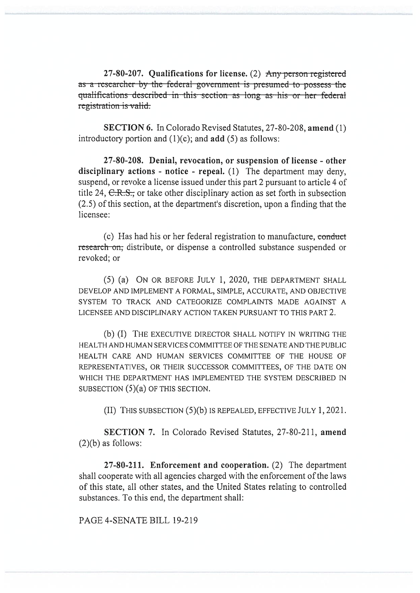27-80-207. Qualifications for license. (2) Any person registered as a researcher by the federal government is presumed to possess the qualifications described in this section as long as his or her federal registration is valid.

**SECTION 6.** In Colorado Revised Statutes, 27-80-208, amend (1) introductory portion and  $(1)(c)$ ; and add  $(5)$  as follows:

27-80-208. Denial, revocation, or suspension of license - other disciplinary actions - notice - repeal. (1) The department may deny. suspend, or revoke a license issued under this part 2 pursuant to article 4 of title 24,  $\text{C-R.S.}$  or take other disciplinary action as set forth in subsection (2.5) of this section, at the department's discretion, upon a finding that the licensee:

(c) Has had his or her federal registration to manufacture, conduct research on, distribute, or dispense a controlled substance suspended or revoked; or

(5) (a) ON OR BEFORE JULY 1, 2020, THE DEPARTMENT SHALL DEVELOP AND IMPLEMENT A FORMAL, SIMPLE, ACCURATE, AND OBJECTIVE SYSTEM TO TRACK AND CATEGORIZE COMPLAINTS MADE AGAINST A LICENSEE AND DISCIPLINARY ACTION TAKEN PURSUANT TO THIS PART 2.

(b) (I) THE EXECUTIVE DIRECTOR SHALL NOTIFY IN WRITING THE HEALTH AND HUMAN SERVICES COMMITTEE OF THE SENATE AND THE PUBLIC HEALTH CARE AND HUMAN SERVICES COMMITTEE OF THE HOUSE OF REPRESENTATIVES, OR THEIR SUCCESSOR COMMITTEES, OF THE DATE ON WHICH THE DEPARTMENT HAS IMPLEMENTED THE SYSTEM DESCRIBED IN SUBSECTION  $(5)(a)$  OF THIS SECTION.

(II) THIS SUBSECTION (5)(b) IS REPEALED, EFFECTIVE JULY 1, 2021.

SECTION 7. In Colorado Revised Statutes, 27-80-211, amend  $(2)(b)$  as follows:

27-80-211. Enforcement and cooperation.  $(2)$  The department shall cooperate with all agencies charged with the enforcement of the laws of this state, all other states, and the United States relating to controlled substances. To this end, the department shall:

PAGE 4-SENATE BILL 19-219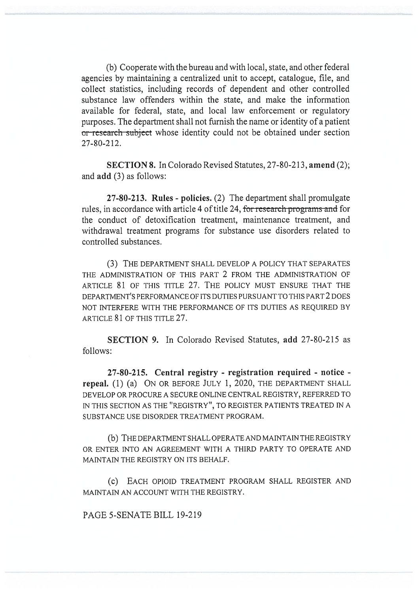(b) Cooperate with the bureau and with local, state, and other federal agencies by maintaining a centralized unit to accept, catalogue, file, and collect statistics, including records of dependent and other controlled substance law offenders within the state, and make the information available for federal, state, and local law enforcement or regulatory purposes. The department shall not furnish the name or identity of a patient or research subject whose identity could not be obtained under section 27-80-212.

**SECTION 8.** In Colorado Revised Statutes, 27-80-213, **amend** (2); and **add** (3) as follows:

**27-80-213. Rules - policies.** (2) The department shall promulgate rules, in accordance with article 4 of title 24, for research programs and for the conduct of detoxification treatment, maintenance treatment, and withdrawal treatment programs for substance use disorders related to controlled substances.

(3) THE DEPARTMENT SHALL DEVELOP A POLICY THAT SEPARATES THE ADMINISTRATION OF THIS PART 2 FROM THE ADMINISTRATION OF ARTICLE 81 OF THIS TITLE 27. THE POLICY MUST ENSURE THAT THE DEPARTMENT'S PERFORMANCE OF ITS DUTIES PURSUANT TO THIS PART 2 DOES NOT INTERFERE WITH THE PERFORMANCE OF ITS DUTIES AS REQUIRED BY ARTICLE 81 OF THIS TITLE 27.

**SECTION 9.** In Colorado Revised Statutes, **add** 27-80-215 as follows:

**27-80-215. Central registry - registration required - notice repeal.** (1) (a) ON OR BEFORE JULY 1, 2020, THE DEPARTMENT SHALL DEVELOP OR PROCURE A SECURE ONLINE CENTRAL REGISTRY, REFERRED TO IN THIS SECTION AS THE "REGISTRY", TO REGISTER PATIENTS TREATED IN A SUBSTANCE USE DISORDER TREATMENT PROGRAM.

(b) THE DEPARTMENT SHALL OPERATE AND MAINTAIN THE REGISTRY OR ENTER INTO AN AGREEMENT WITH A THIRD PARTY TO OPERATE AND MAINTAIN THE REGISTRY ON ITS BEHALF.

(c) EACH OPIOID TREATMENT PROGRAM SHALL REGISTER AND MAINTAIN AN ACCOUNT WITH THE REGISTRY.

PAGE 5-SENATE BILL 19-219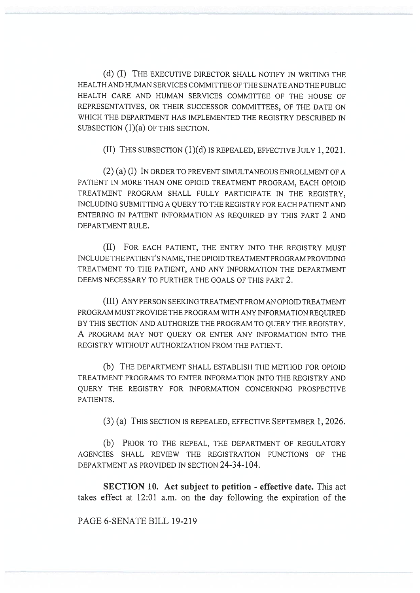(d) (I) THE EXECUTIVE DIRECTOR SHALL NOTIFY IN WRITING THE HEALTH AND HUMAN SERVICES COMMITTEE OF THE SENATE AND THE PUBLIC HEALTH CARE AND HUMAN SERVICES COMMITTEE OF THE HOUSE OF REPRESENTATIVES, OR THEIR SUCCESSOR COMMITTEES, OF THE DATE ON WHICH THE DEPARTMENT HAS IMPLEMENTED THE REGISTRY DESCRIBED IN SUBSECTION (1)(a) OF THIS SECTION.

(II) THIS SUBSECTION (1)(d) IS REPEALED, EFFECTIVE JULY 1, 2021.

(2) (a) (I) IN ORDER TO PREVENT SIMULTANEOUS ENROLLMENT OF A PATIENT IN MORE THAN ONE OPIOID TREATMENT PROGRAM, EACH OPIOID TREATMENT PROGRAM SHALL FULLY PARTICIPATE IN THE REGISTRY, INCLUDING SUBMITTING A QUERY TO THE REGISTRY FOR EACH PATIENT AND ENTERING IN PATIENT INFORMATION AS REQUIRED BY THIS PART 2 AND DEPARTMENT RULE.

(II) FOR EACH PATIENT, THE ENTRY INTO THE REGISTRY MUST INCLUDE THE PATIENT'S NAME, THE OPIOID TREATMENT PROGRAM PROVIDING TREATMENT TO THE PATIENT, AND ANY INFORMATION THE DEPARTMENT DEEMS NECESSARY TO FURTHER THE GOALS OF THIS PART 2.

(III) ANY PERSON SEEKING TREATMENT FROM AN OPIOID TREATMENT PROGRAM MUST PROVIDE THE PROGRAM WITH ANY INFORMATION REQUIRED BY THIS SECTION AND AUTHORIZE THE PROGRAM TO QUERY THE REGISTRY. A PROGRAM MAY NOT QUERY OR ENTER ANY INFORMATION INTO THE REGISTRY WITHOUT AUTHORIZATION FROM THE PATIENT.

(b) THE DEPARTMENT SHALL ESTABLISH THE METHOD FOR OPIOID TREATMENT PROGRAMS TO ENTER INFORMATION INTO THE REGISTRY AND QUERY THE REGISTRY FOR INFORMATION CONCERNING PROSPECTIVE PATIENTS.

(3) (a) THIS SECTION IS REPEALED, EFFECTIVE SEPTEMBER 1, 2026.

(b) PRIOR TO THE REPEAL, THE DEPARTMENT OF REGULATORY AGENCIES SHALL REVIEW THE REGISTRATION FUNCTIONS OF THE DEPARTMENT AS PROVIDED IN SECTION 24-34-104.

**SECTION 10. Act subject to petition - effective date.** This act takes effect at 12:01 a.m. on the day following the expiration of the

PAGE 6-SENATE BILL 19-219